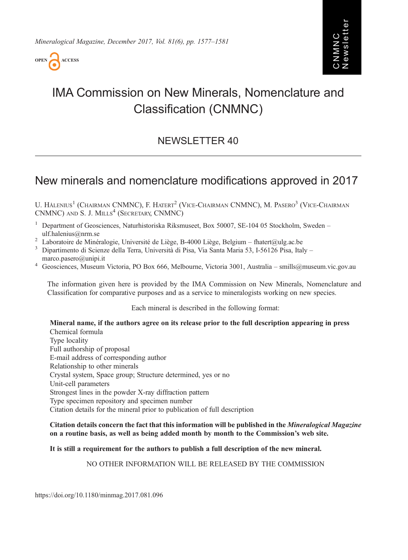

# IMA Commission on New Minerals, Nomenclature and Classification (CNMNC)

# NEWSLETTER 40

# New minerals and nomenclature modifications approved in 2017

U. HALENIUS<sup>1</sup> (CHAIRMAN CNMNC), F. HATERT<sup>2</sup> (VICE-CHAIRMAN CNMNC), M. PASERO<sup>3</sup> (VICE-CHAIRMAN CNMNC) AND S. J. MILLS<sup>4</sup> (SECRETARY, CNMNC)

<sup>1</sup> Department of Geosciences, Naturhistoriska Riksmuseet, Box 50007, SE-104 05 Stockholm, Sweden –

- [ulf.halenius@nrm.se](mailto:ulf.�halenius@nrm.se)<br>
<sup>2</sup> Laboratoire de Minéralogie, Université de Liège, B-4000 Liège, Belgium [fhatert@ulg.ac.be](mailto:fhatert@ulg.ac.be)<br>
<sup>3</sup> Dipartimento di Scienze della Terra, Università di Pisa, Via Santa Maria 53, I-56126 Pisa, Italy –
- [marco.pasero@unipi.it](mailto:marco.�pasero@�unipi.it) <sup>4</sup> Geosciences, Museum Victoria, PO Box 666, Melbourne, Victoria 3001, Australia [smills@museum.vic.gov.au](mailto:smills@museum.vic.gov.au)
- 

The information given here is provided by the IMA Commission on New Minerals, Nomenclature and Classification for comparative purposes and as a service to mineralogists working on new species.

Each mineral is described in the following format:

Mineral name, if the authors agree on its release prior to the full description appearing in press Chemical formula Type locality Full authorship of proposal E-mail address of corresponding author Relationship to other minerals Crystal system, Space group; Structure determined, yes or no Unit-cell parameters Strongest lines in the powder X-ray diffraction pattern Type specimen repository and specimen number Citation details for the mineral prior to publication of full description

Citation details concern the fact that this information will be published in the Mineralogical Magazine on a routine basis, as well as being added month by month to the Commission's web site.

# It is still a requirement for the authors to publish a full description of the new mineral.

NO OTHER INFORMATION WILL BE RELEASED BY THE COMMISSION

https://doi.org/10.1180/minmag.2017.081.096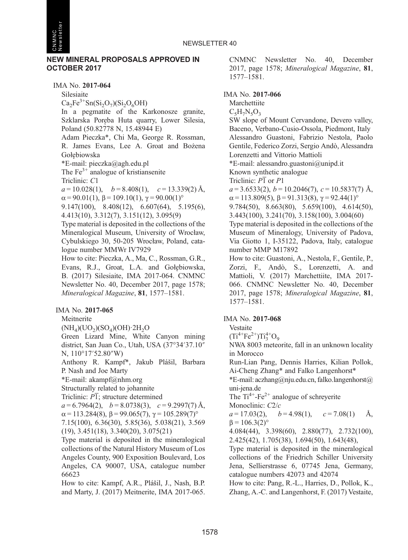

#### NEW MINERAL PROPOSALS APPROVED IN OCTOBER 2017

IMA No. 2017-064

Silesiaite

 $Ca<sub>2</sub>Fe<sup>3+</sup>Sn(Si<sub>2</sub>O<sub>7</sub>)(Si<sub>2</sub>O<sub>6</sub>OH)$ 

In a pegmatite of the Karkonosze granite, Szklarska Porę ba Huta quarry, Lower Silesia, Poland (50.82778 N, 15.48944 E)

Adam Pieczka\*, Chi Ma, George R. Rossman, R. James Evans, Lee A. Groat and Bożena Gołę biowska

\*E-mail: [pieczka@agh.edu.pl](mailto:pieczka@agh.edu.pl)

The  $Fe<sup>3+</sup>$  analogue of kristiansenite

Triclinic: C1

 $a = 10.028(1), \quad b = 8.408(1), \quad c = 13.339(2)$  Å,

 $\alpha = 90.01(1)$ ,  $\beta = 109.10(1)$ ,  $\gamma = 90.00(1)$ °

9.147(100), 8.408(12), 6.607(64), 5.195(6), 4.413(10), 3.312(7), 3.151(12), 3.095(9)

Type material is deposited in the collections of the Mineralogical Museum, University of Wrocław, Cybulskiego 30, 50-205 Wrocław, Poland, catalogue number MMWr IV7929

How to cite: Pieczka, A., Ma, C., Rossman, G.R., Evans, R.J., Groat, L.A. and Gołębiowska, B. (2017) Silesiaite, IMA 2017-064. CNMNC Newsletter No. 40, December 2017, page 1578; Mineralogical Magazine, 81, 1577–1581.

IMA No. 2017-065

Meitnerite

 $(NH_4)(UO_2)(SO_4)(OH)$  $·2H_2O$ 

Green Lizard Mine, White Canyon mining district, San Juan Co., Utah, USA (37°34′37.10″ N, 110°17′52.80″W)

Anthony R. Kampf\*, Jakub Plášil, Barbara P. Nash and Joe Marty

\*E-mail: [akampf@nhm.org](mailto:akampf@nhm.org)

Structurally related to johannite

Triclinic:  $\overline{PI}$ ; structure determined

 $a = 6.7964(2)$ ,  $b = 8.0738(3)$ ,  $c = 9.2997(7)$  Å,  $\alpha = 113.284(8), \beta = 99.065(7), \gamma = 105.289(7)$ °

7.15(100), 6.36(30), 5.85(36), 5.038(21), 3.569

(19), 3.451(18), 3.340(20), 3.075(21)

Type material is deposited in the mineralogical collections of the Natural History Museum of Los Angeles County, 900 Exposition Boulevard, Los Angeles, CA 90007, USA, catalogue number 66623

How to cite: Kampf, A.R., Plášil, J., Nash, B.P. and Marty, J. (2017) Meitnerite, IMA 2017-065. CNMNC Newsletter No. 40, December 2017, page 1578; Mineralogical Magazine, 81, 1577–1581.

# IMA No. 2017-066

Marchettiite  $C_5H_7N_5O_3$ SW slope of Mount Cervandone, Devero valley, Baceno, Verbano-Cusio-Ossola, Piedmont, Italy Alessandro Guastoni, Fabrizio Nestola, Paolo Gentile, Federico Zorzi, Sergio Andò, Alessandra Lorenzetti and Vittorio Mattioli \*E-mail: [alessandro.guastoni@unipd.it](mailto:alessandro.guastoni@unipd.it) Known synthetic analogue Triclinic:  $\overline{P1}$  or  $\overline{P1}$  $a = 3.6533(2), b = 10.2046(7), c = 10.5837(7)$  Å,  $\alpha$  = 113.809(5),  $\beta$  = 91.313(8),  $\gamma$  = 92.44(1)<sup>o</sup> 9.784(50), 8.663(80), 5.659(100), 4.614(50), 3.443(100), 3.241(70), 3.158(100), 3.004(60) Type material is deposited in the collections of the Museum of Mineralogy, University of Padova, Via Giotto 1, I-35122, Padova, Italy, catalogue number MMP M17892 How to cite: Guastoni, A., Nestola, F., Gentile, P., Zorzi, F., Andò, S., Lorenzetti, A. and Mattioli, V. (2017) Marchettiite, IMA 2017- 066. CNMNC Newsletter No. 40, December 2017, page 1578; Mineralogical Magazine, 81, 1577–1581.

# IMA No. 2017-068

Vestaite

 $(Ti^{4+}Fe^{2+})Ti_3^{4+}O_9$ 

NWA 8003 meteorite, fall in an unknown locality in Morocco

Run-Lian Pang, Dennis Harries, Kilian Pollok, Ai-Cheng Zhang\* and Falko Langenhorst\*

 $E$ -mail: [aczhang@nju.edu.cn](mailto:aczhang@nju.edu.cn), [falko.langenhorst@](mailto:falko.langenhorst@<?A3B2 twb?><?A3B2 tlsb?>uni-jena.de) [uni-jena.de](mailto:falko.langenhorst@<?A3B2 twb?><?A3B2 tlsb?>uni-jena.de)

The  $Ti^{4+}$ -Fe<sup>2+</sup> analogue of schreyerite

Monoclinic: C<sub>2/c</sub>

 $a = 17.03(2), \quad b = 4.98(1), \quad c = 7.08(1) \quad \text{\AA},$  $B = 106.3(2)$ °

4.084(44), 3.398(60), 2.880(77), 2.732(100), 2.425(42), 1.705(38), 1.694(50), 1.643(48),

Type material is deposited in the mineralogical collections of the Friedrich Schiller University Jena, Sellierstrasse 6, 07745 Jena, Germany, catalogue numbers 42073 and 42074

How to cite: Pang, R.-L., Harries, D., Pollok, K., Zhang, A.-C. and Langenhorst, F. (2017) Vestaite,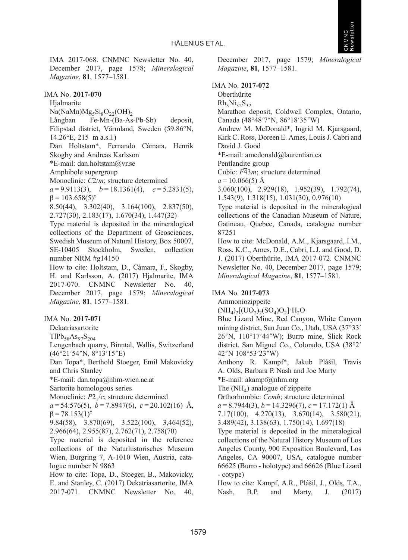

IMA 2017-068. CNMNC Newsletter No. 40, December 2017, page 1578; Mineralogical Magazine, 81, 1577–1581.

IMA No. 2017-070

Hialmarite

 $Na(NaMn)Mg_5Si_8O_{22}(OH)_2$ <br>Långban Fe-Mn-(Ba-As Fe-Mn-(Ba-As-Pb-Sb) deposit,

Filipstad district, Värmland, Sweden (59.86°N, 14.26°E, 215 m a.s.l.)

Dan Holtstam\*, Fernando Cámara, Henrik Skogby and Andreas Karlsson

\*E-mail: [dan.holtstam@vr.se](mailto:dan.holtstam@vr.se)

Amphibole supergroup

Monoclinic:  $C2/m$ ; structure determined

 $a = 9.9113(3)$ ,  $b = 18.1361(4)$ ,  $c = 5.2831(5)$ ,  $β = 103.658(5)°$ 

8.50(44), 3.302(40), 3.164(100), 2.837(50), 2.727(30), 2.183(17), 1.670(34), 1.447(32)

Type material is deposited in the mineralogical collections of the Department of Geosciences, Swedish Museum of Natural History, Box 50007, SE-10405 Stockholm, Sweden, collection number NRM #g14150

How to cite: Holtstam, D., Cámara, F., Skogby, H. and Karlsson, A. (2017) Hjalmarite, IMA 2017-070. CNMNC Newsletter No. 40, December 2017, page 1579; Mineralogical Magazine, 81, 1577–1581.

# IMA No. 2017-071

Dekatriasartorite

 $TIPb_{58}As_{97}S_{204}$ 

Lengenbach quarry, Binntal, Wallis, Switzerland (46°21′54″N, 8°13′15″E)

Dan Topa\*, Berthold Stoeger, Emil Makovicky and Chris Stanley

\*E-mail: [dan.topa@nhm-wien.ac.at](mailto:dan.topa@nhm-wien.ac.at)

Sartorite homologous series

Monoclinic:  $P2<sub>1</sub>/c$ ; structure determined

 $a = 54.576(5)$ ,  $b = 7.8947(6)$ ,  $c = 20.102(16)$  Å,  $\beta$  = 78.153(1)<sup>o</sup>

9.84(58), 3.870(69), 3.522(100), 3,464(52), 2.966(64), 2.955(87), 2.762(71), 2.758(70)

Type material is deposited in the reference collections of the Naturhistorisches Museum Wien, Burgring 7, A-1010 Wien, Austria, catalogue number N 9863

How to cite: Topa, D., Stoeger, B., Makovicky, E. and Stanley, C. (2017) Dekatriasartorite, IMA 2017-071. CNMNC Newsletter No. 40, December 2017, page 1579; Mineralogical Magazine, 81, 1577–1581.

# IMA No. 2017-072

**Oberthürite**  $Rh_3Ni_{32}S_{32}$ Marathon deposit, Coldwell Complex, Ontario, Canada (48°48′7″N, 86°18′35″W) Andrew M. McDonald\*, Ingrid M. Kjarsgaard, Kirk C. Ross, Doreen E. Ames, Louis J. Cabri and David J. Good \*E-mail: [amcdonald@laurentian.ca](mailto:amcdonald@laurentian.ca) Pentlandite group Cubic:  $F\overline{4}3m$ ; structure determined  $a = 10.066(5)$  Å 3.060(100), 2.929(18), 1.952(39), 1.792(74), 1.543(9), 1.318(15), 1.031(30), 0.976(10) Type material is deposited in the mineralogical collections of the Canadian Museum of Nature, Gatineau, Quebec, Canada, catalogue number 87251 How to cite: McDonald, A.M., Kjarsgaard, I.M.,

Ross, K.C., Ames, D.E., Cabri, L.J. and Good, D. J. (2017) Oberthürite, IMA 2017-072. CNMNC Newsletter No. 40, December 2017, page 1579; Mineralogical Magazine, 81, 1577–1581.

# IMA No. 2017-073

Ammoniozippeite

 $(NH_4)_2[(UO_2)_2(SO_4)O_2]$ ·H<sub>2</sub>O Blue Lizard Mine, Red Canyon, White Canyon mining district, San Juan Co., Utah, USA (37°33′ 26″N, 110°17′44″W); Burro mine, Slick Rock district, San Miguel Co., Colorado, USA (38°2′

42″N 108°53′23″W)

Anthony R. Kampf\*, Jakub Plášil, Travis A. Olds, Barbara P. Nash and Joe Marty

\*E-mail: [akampf@nhm.org](mailto:akampf@nhm.org)

The  $(NH_4)$  analogue of zippeite

Orthorhombic: Ccmb; structure determined

 $a = 8.7944(3), b = 14.3296(7), c = 17.172(1)$  Å

7.17(100), 4.270(13), 3.670(14), 3.580(21),

3.489(42), 3.138(63), 1.750(14), 1.697(18)

Type material is deposited in the mineralogical collections of the Natural History Museum of Los Angeles County, 900 Exposition Boulevard, Los Angeles, CA 90007, USA, catalogue number 66625 (Burro - holotype) and 66626 (Blue Lizard - cotype)

How to cite: Kampf, A.R., Plášil, J., Olds, T.A., Nash, B.P. and Marty, J. (2017)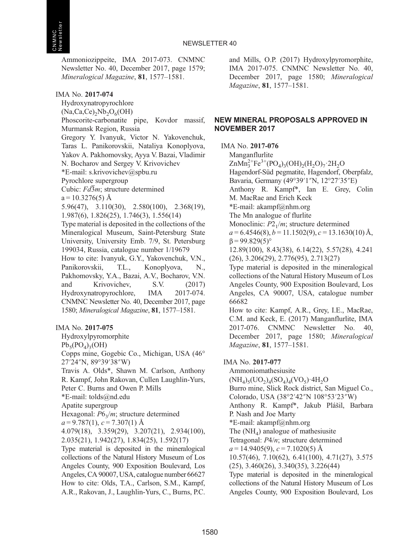Ammoniozippeite, IMA 2017-073. CNMNC Newsletter No. 40, December 2017, page 1579; Mineralogical Magazine, 81, 1577–1581.

#### IMA No. 2017-074

Hydroxynatropyrochlore

 $(Na, Ca, Ce), Nb<sub>2</sub>O<sub>6</sub>(OH)$ 

Phoscorite-carbonatite pipe, Kovdor massif, Murmansk Region, Russia

Gregory Y. Ivanyuk, Victor N. Yakovenchuk, Taras L. Panikorovskii, Nataliya Konoplyova, Yakov A. Pakhomovsky, Ayya V. Bazai, Vladimir N. Bocharov and Sergey V. Krivovichev

\*E-mail: [s.krivovichev@spbu.ru](mailto:s.krivovichev@spbu.ru)

Pyrochlore supergroup

Cubic:  $Fd\overline{3}m$ ; structure determined

 $a = 10.3276(5)$  Å

5.96(47), 3.110(30), 2.580(100), 2.368(19), 1.987(6), 1.826(25), 1.746(3), 1.556(14)

Type material is deposited in the collections of the Mineralogical Museum, Saint-Petersburg State University, University Emb. 7/9, St. Petersburg 199034, Russia, catalogue number 1/19679 How to cite: Ivanyuk, G.Y., Yakovenchuk, V.N., Panikorovskii, T.L., Konoplyova, N., Pakhomovsky, Y.A., Bazai, A.V., Bocharov, V.N. and Krivovichev, S.V. (2017) Hydroxynatropyrochlore, IMA 2017-074. CNMNC Newsletter No. 40, December 2017, page 1580; Mineralogical Magazine, 81, 1577–1581.

IMA No. 2017-075

Hydroxylpyromorphite

 $Pb<sub>5</sub>(PO<sub>4</sub>)<sub>2</sub>(OH)$ 

Copps mine, Gogebic Co., Michigan, USA (46° 27′24″N, 89°39′38″W)

Travis A. Olds\*, Shawn M. Carlson, Anthony R. Kampf, John Rakovan, Cullen Laughlin-Yurs, Peter C. Burns and Owen P. Mills

\*E-mail: [tolds@nd.edu](mailto:tolds@nd.edu)

Apatite supergroup

Hexagonal:  $P6_2/m$ ; structure determined

 $a = 9.787(1), c = 7.307(1)$  Å

4.079(18), 3.359(29), 3.207(21), 2.934(100), 2.035(21), 1.942(27), 1.834(25), 1.592(17)

Type material is deposited in the mineralogical collections of the Natural History Museum of Los Angeles County, 900 Exposition Boulevard, Los Angeles, CA 90007, USA, catalogue number 66627 How to cite: Olds, T.A., Carlson, S.M., Kampf, A.R., Rakovan, J., Laughlin-Yurs, C., Burns, P.C. and Mills, O.P. (2017) Hydroxylpyromorphite, IMA 2017-075. CNMNC Newsletter No. 40, December 2017, page 1580; Mineralogical Magazine, 81, 1577–1581.

#### NEW MINERAL PROPOSALS APPROVED IN NOVEMBER 2017

IMA No. 2017-076

Manganflurlite  $ZnMn_3^{2+}Fe^{3+}(PO_4)_3(OH)_2(H_2O)_7.2H_2O$ Hagendorf-Süd pegmatite, Hagendorf, Oberpfalz, Bavaria, Germany (49°39′1″N, 12°27′35″E) Anthony R. Kampf\*, Ian E. Grey, Colin M. MacRae and Erich Keck \*E-mail: [akampf@nhm.org](mailto:akampf@nhm.org) The Mn analogue of flurlite Monoclinic:  $P2_1/m$ ; structure determined  $a = 6.4546(8)$ ,  $b = 11.1502(9)$ ,  $c = 13.1630(10)$  Å,  $β = 99.829(5)°$ 12.89(100), 8.43(38), 6.14(22), 5.57(28), 4.241 (26), 3.206(29), 2.776(95), 2.713(27) Type material is deposited in the mineralogical collections of the Natural History Museum of Los Angeles County, 900 Exposition Boulevard, Los Angeles, CA 90007, USA, catalogue number 66682 How to cite: Kampf, A.R., Grey, I.E., MacRae, C.M. and Keck, E. (2017) Manganflurlite, IMA 2017-076. CNMNC Newsletter No. 40, December 2017, page 1580; Mineralogical Magazine, 81, 1577–1581. IMA No. 2017-077 Ammoniomathesiusite  $(NH_4)_{5}(UO_2)_{4}(SO_4)_{4}(VO_5)$ <sup>-4</sup>H<sub>2</sub>O Burro mine, Slick Rock district, San Miguel Co., Colorado, USA (38°2′42″N 108°53′23″W)

Anthony R. Kampf\*, Jakub Plášil, Barbara P. Nash and Joe Marty

\*E-mail: [akampf@nhm.org](mailto:akampf@nhm.org)

The  $(NH_4)$  analogue of mathesiusite

Tetragonal: P4/n; structure determined

 $a = 14.9405(9), c = 7.1020(5)$  Å

10.57(46), 7.10(62), 6.41(100), 4.71(27), 3.575 (25), 3.460(26), 3.340(35), 3.226(44)

Type material is deposited in the mineralogical collections of the Natural History Museum of Los Angeles County, 900 Exposition Boulevard, Los